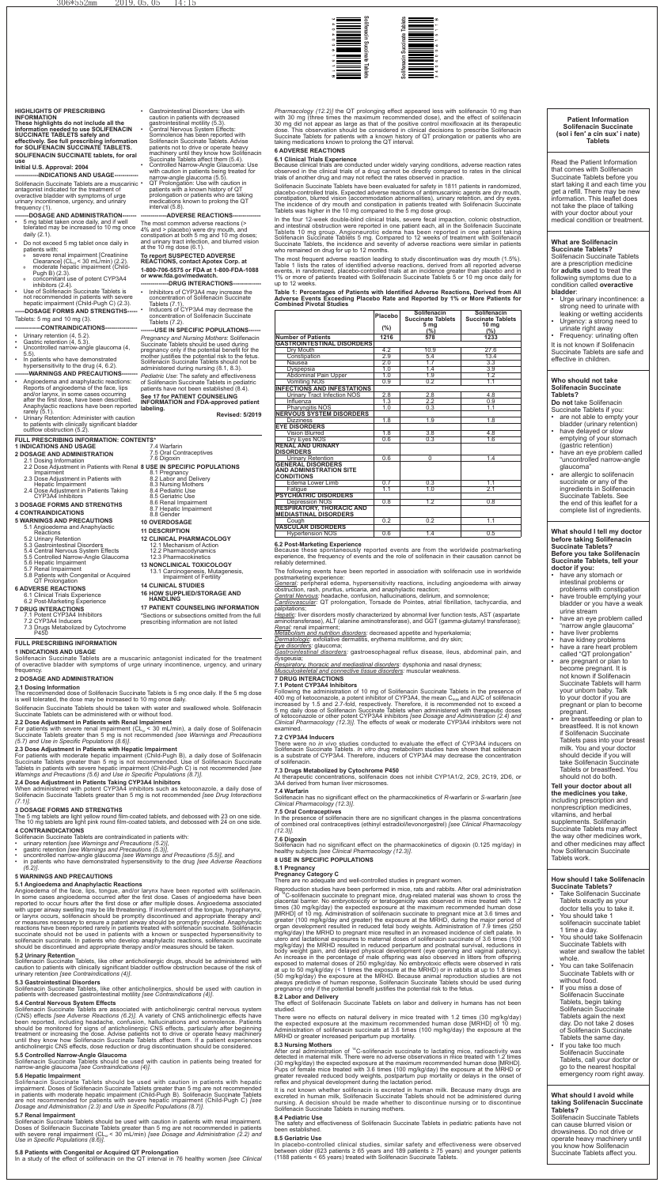#### **HIGHLIGHTS OF PRESCRIBING INFORMATION**

**These highlights do not include all the information needed to use SOLIFENACIN SUCCINATE TABLETS safely and effectively. See full prescribing information for SOLIFENACIN SUCCINATE TABLETS. SOLIFENACIN SUCCINATE tablets, for oral use**

Solifenacin Succinate Tablets are a muscarinic • antagonist indicated for the treatment of overactive bladder with symptoms of urge urinary incontinence, urgency, and urinary frequency (1).

#### **--DOSAGE AND ADMINISTRATION-**

#### **Initial U.S. Approval: 2004**

---INDICATIONS AND USAGE--

- • 5 mg tablet taken once daily, and if well tolerated may be increased to 10 mg once daily (2.1).
- Do not exceed 5 mg tablet once daily in patients with:
	- severe renal impairment [Creatinine Clearance] (CL<sub>cr</sub> < 30 mL/min) (2.2).<br>moderate hepatic impairment (Child-
- Pugh B) (2.3).
- concomitant use of potent CYP3A4 inhibitors (2.4).
- • Use of Solifenacin Succinate Tablets is not recommended in patients with severe hepatic impairment (Child-Pugh C) (2.3). **-----DOSAGE FORMS AND STRENGTHS-----**

- Urinary retention (4, 5.2).
- Gastric retention  $(4, 5.3)$ .
- Uncontrolled narrow-angle glaucoma (4, 5.5).
- In patients who have demonstrated hypersensitivity to the drug (4, 6.2). **-WARNINGS AND PRECAUTIONS-**
- Angioedema and anaphylactic reactions: Reports of angioedema of the face, lips and/or larynx, in some cases occurring after the first dose, have been described. Anaphylactic reactions have been reported rarely (5.1).
- Urinary Retention: Administer with caution to patients with clinically significant bladder outflow obstruction (5.2).

Gastrointestinal Disorders: Use with caution in patients with decreased

# Tablets: 5 mg and 10 mg (3).

# **-------------CONTRAINDICATIONS----------------**

QT Prolongation: Use with caution in patients with a known history of QT prolongation or patients who are taking medications known to prolong the QT interval (5.8).

**--ADVERSE REACTIONS** 

**or www.fda.gov/medwatch. -DRUG INTERACTIONS** 

- Inhibitors of CYP3A4 may increase the concentration of Solifenacin Succinate Tablets (7.1).
- • Inducers of CYP3A4 may decrease the concentration of Solifenacin Succinate Tablets (7.2).

**-USE IN SPECIFIC POPULATIONS-***Pregnancy and Nursing Mothers*: Solifenacin Succinate Tablets should be used during pregnancy only if the potential benefit for the mother justifies the potential risk to the fetus. Solifenacin Succinate Tablets should not be administered during nursing (8.1, 8.3). *Pediatric Use*: The safety and effectiveness of Solifenacin Succinate Tablets in pediatric patients have not been established (8.4). **See 17 for PATIENT COUNSELING** 

gastrointestinal motility (5.3). Central Nervous System Effects: Somnolence has been reported with Solifenacin Succinate Tablets. Advise patients not to drive or operate heavy machinery until they know how Solifenacin Succinate Tablets affect them (5.4). • Controlled Narrow-Angle Glaucoma: Use with caution in patients being treated for narrow-angle glaucoma (5.5).

The most common adverse reactions (> 4% and > placebo) were dry mouth, and constipation at both 5 mg and 10 mg doses; and urinary tract infection, and blurred vision at the 10 mg dose (6.1).

#### **To report SUSPECTED ADVERSE REACTIONS, contact Apotex Corp. at 1-800-706-5575 or FDA at 1-800-FDA-1088**

For patients with severe renal impairment ( $CL<sub>cr</sub> < 30$  mL/min), a daily dose of Solifenacin Succinate Tablets greater than 5 mg is not recommended *[see Warnings and Precautions (5.7) and Use in Specific Populations (8.6)]*.

**INFORMATION and FDA-approved patient** 

**labeling.** 

**Revised: 5/2019**

# **FULL PRESCRIBING INFORMATION: CONTENTS\***

**1 INDICATIONS AND USAGE 2 DOSAGE AND ADMINISTRATION** 

# 2.1 Dosing Information

- 2.2 Dose Adjustment in Patients with Renal **8 USE IN SPECIFIC POPULATIONS**  Impairment
- 2.3 Dose Adjustment in Patients with
- Hepatic Impairment 2.4 Dose Adjustment in Patients Taking
- CYP3A4 Inhibitors **3 DOSAGE FORMS AND STRENGTHS**

# **4 CONTRAINDICATIONS**

- **5 WARNINGS AND PRECAUTIONS**  5.1 Angioedema and Anaphylactic
	- **Reactions**
	- 5.2 Urinary Retention
	- 5.3 Gastrointestinal Disorders 5.4 Central Nervous System Effects
	- 5.5 Controlled Narrow-Angle Glaucoma
	- 5.6 Hepatic Impairment
- 5.7 Renal Impairment 5.8 Patients with Congenital or Acquired
- QT Prolongation
- **6 ADVERSE REACTIONS** 
	- 6.1 Clinical Trials Experience

# 6.2 Post-Marketing Experience

# 7.4 Warfarin

7.5 Oral Contraceptives 7.6 Digoxin

- 8.1 Pregnancy
- 8.2 Labor and Delivery
- 8.3 Nursing Mothers 8.4 Pediatric Use
- 8.5 Geriatric Use
- 8.6 Renal Impairment
- 8.7 Hepatic Impairment 8.8 Gender
- **10 OVERDOSAGE**

- **7 DRUG INTERACTIONS**  7.1 Potent CYP3A4 Inhibitors
- 7.2 CYP3A4 Inducers
- 7.3 Drugs Metabolized by Cytochrome P450
- **FULL PRESCRIBING INFORMATION**
- **1 INDICATIONS AND USAGE**
- **11 DESCRIPTION**
- **12 CLINICAL PHARMACOLOGY** 
	- 12.1 Mechanism of Action 12.2 Pharmacodynamics
	- 12.3 Pharmacokinetics
- **13 NONCLINICAL TOXICOLOGY**
- 13.1 Carcinogenesis, Mutagenesis, Impairment of Fertility

# **14 CLINICAL STUDIES**

Solifenacin Succinate Tablets are a muscarinic antagonist indicated for the treatment of overactive bladder with symptoms of urge urinary incontinence, urgency, and urinary frequency.

#### **2 DOSAGE AND ADMINISTRATION**

#### **2.1 Dosing Information**

The recommended dose of Solifenacin Succinate Tablets is 5 mg once daily. If the 5 mg dose is well tolerated, the dose may be increased to 10 mg once daily.

Solifenacin Succinate Tablets should be taken with water and swallowed whole. Solifenacin Succinate Tablets can be administered with or without food.

# **2.2 Dose Adjustment in Patients with Renal Impairment**

# **2.3 Dose Adjustment in Patients with Hepatic Impairment**

For patients with moderate hepatic impairment (Child-Pugh B), a daily dose of Solifenacin Succinate Tablets greater than 5 mg is not recommended. Use of Solifenacin Succinate Tablets in patients with severe hepatic impairment (Child-Pugh C) is not recommended *[see Warnings and Precautions (5.6) and Use in Specific Populations (8.7)]*.

# **2.4 Dose Adjustment in Patients Taking CYP3A4 Inhibitors**

When administered with potent CYP3A4 inhibitors such as ketoconazole, a daily dose of Solifenacin Succinate Tablets greater than 5 mg is not recommended *[see Drug Interactions (7.1)].* 

#### **3 DOSAGE FORMS AND STRENGTHS**

Vision Blurred 2.8 2.8 2.8 2.8 4.8 Dry Eyes NOS 0.6 0.3 1.6

Urinary Retention 1.4

Edema Lower Limb 0.7 0.3 1.1<br>
Fatigue 1.1 1.0 2.1 <u>Fatigue 2.1</u> 2.1 1.1 1.0 2.1

Depression NOS 0.8 1.2 0.8

The 5 mg tablets are light yellow round film-coated tablets, and debossed with 23 on one side. The 10 mg tablets are light pink round film-coated tablets, and debossed with 24 on one side.

# **4 CONTRAINDICATIONS**

Solifenacin Succinate Tablets are contraindicated in patients with:

- • urinary retention *[see Warnings and Precautions (5.2)]*,
- gastric retention [see Warnings and Precautions (5.3)]
- • uncontrolled narrow-angle glaucoma *[see Warnings and Precautions (5.5)]*, and
- • in patients who have demonstrated hypersensitivity to the drug *[see Adverse Reactions (6.2)]*.

#### **5 WARNINGS AND PRECAUTIONS**

#### **5.1 Angioedema and Anaphylactic Reactions**

Angioedema of the face, lips, tongue, and/or larynx have been reported with solifenacin. In some cases angioedema occurred after the first dose. Cases of angioedema have been reported to occur hours after the first dose or after multiple doses. Angioedema associated with upper airway swelling may be life threatening. If involvement of the tongue, hypopharynx, or larynx occurs, solifenacin should be promptly discontinued and appropriate therapy and/ or measures necessary to ensure a patent airway should be promptly provided. Anaphylactic reactions have been reported rarely in patients treated with solifenacin succinate. Solifenacin succinate should not be used in patients with a known or suspected hypersensitivity to solifenacin succinate. In patients who develop anaphylactic reactions, solifenacin succinate should be discontinued and appropriate therapy and/or measures should be taken.

#### **5.2 Urinary Retention**

Solifenacin Succinate Tablets, like other anticholinergic drugs, should be administered with caution to patients with clinically significant bladder outflow obstruction because of the risk of urinary retention *[see Contraindications (4)]*.

#### **5.3 Gastrointestinal Disorders**

Solifenacin Succinate Tablets, like other anticholinergics, should be used with caution in patients with decreased gastrointestinal motility *[see Contraindications (4)]*.

#### **5.4 Central Nervous System Effects**

Solifenacin Succinate Tablets are associated with anticholinergic central nervous system (CNS) effects *[see Adverse Reactions (6.2)].* A variety of CNS anticholinergic effects have been reported, including headache, confusion, hallucinations and somnolence. Patients should be monitored for signs of anticholinergic CNS effects, particularly after beginning treatment or increasing the dose. Advise patients not to drive or operate heavy machinery until they know how Solifenacin Succinate Tablets affect them. If a patient experiences anticholinergic CNS effects, dose reduction or drug discontinuation should be considered.

Reproduction studies have been performed in mice, rats and rabbits. After oral administration of <sup>14</sup>C-solifenacin succinate to pregnant mice, drug-related material was shown to cross the <sup>4</sup>C-solifenacin succinate to pregnant mice, drug-related material was shown to cross the placental barrier. No embryotoxicity or teratogenicity was observed in mice treated with 1.2 times (30 mg/kg/day) the expected exposure at the maximum recommended human dose [MRHD] of 10 mg. Administration of solifenacin succinate to pregnant mice at 3.6 times and greater (100 mg/kg/day and greater) the exposure at the MRHD, during the major period of organ development resulted in reduced fetal body weights. Administration of 7.9 times (250 mg/kg/day) the MRHD to pregnant mice resulted in an increased incidence of cleft palate. In utero and lactational exposures to maternal doses of solifenacin succinate of 3.6 times (100 mg/kg/day) the MRHD resulted in reduced peripartum and postnatal survival, reductions in body weight gain, and delayed physical development (eye opening and vaginal patency). An increase in the percentage of male offspring was also observed in litters from offspring exposed to maternal doses of 250 mg/kg/day. No embryotoxic effects were observed in rats at up to 50 mg/kg/day (< 1 times the exposure at the MRHD) or in rabbits at up to 1.8 times (50 mg/kg/day) the exposure at the MRHD. Because animal reproduction studies are not always predictive of human response, Solifenacin Succinate Tablets should be used during pregnancy only if the potential benefit justifies the potential risk to the fetus.

#### **5.5 Controlled Narrow-Angle Glaucoma**

Solifenacin Succinate Tablets should be used with caution in patients being treated for narrow-angle glaucoma *[see Contraindications (4)]*.

#### **5.6 Hepatic Impairment**

After oral administration of  $14C$ -solifenacin succinate to lactating mice, radioactivity was detected in maternal milk. There were no adverse observations in mice treated with 1.2 times (30 mg/kg/day) the expected exposure at the maximum recommended human dose [MRHD]. Pups of female mice treated with 3.6 times (100 mg/kg/day) the exposure at the MRHD or greater revealed reduced body weights, postpartum pup mortality or delays in the onset of reflex and physical development during the lactation period.

Solifenacin Succinate Tablets should be used with caution in patients with hepatic impairment. Doses of Solifenacin Succinate Tablets greater than 5 mg are not recommended in patients with moderate hepatic impairment (Child-Pugh B). Solifenacin Succinate Tablets are not recommended for patients with severe hepatic impairment (Child-Pugh C) *[see Dosage and Administration (2.3) and Use in Specific Populations (8.7)]*.

- **16 HOW SUPPLIED/STORAGE AND HANDLING**
- **17 PATIENT COUNSELING INFORMATION**
- \*Sections or subsections omitted from the full prescribing information are not listed
- *Renal:* renal impairment;
- *Metabolism and nutrition disorders:* decreased appetite and hyperkalemia; *Dermatologic:* exfoliative dermatitis, erythema multiforme, and dry skin;

### **5.7 Renal Impairment**

Solifenacin Succinate Tablets should be used with caution in patients with renal impairment. Doses of Solifenacin Succinate Tablets greater than 5 mg are not recommended in patients with severe renal impairment (CL<sub>cr</sub> < 30 mL/min) *[see Dosage and Administration (2.2) and Use in Specific Populations (8.6)]*.

# **5.8 Patients with Congenital or Acquired QT Prolongation**

In a study of the effect of solifenacin on the QT interval in 76 healthy women *[see Clinical* 

*Pharmacology (12.2)]* the QT prolonging effect appeared less with solifenacin 10 mg than with 30 mg (three times the maximum recommended dose), and the effect of solifenacin 30 mg did not appear as large as that of the positive control moxifloxacin at its therapeutic dose. This observation should be considered in clinical decisions to prescribe Solifenacin Succinate Tablets for patients with a known history of QT prolongation or patients who are

> have any stomach or intestinal problems or problems with constipation have trouble emptying your bladder or you have a weak

taking medications known to prolong the QT interval.

have an eye problem called "narrow angle glaucoma" have liver problems have kidney problems have a rare heart problem called "QT prolongation" are pregnant or plan to become pregnant. It is

**6 ADVERSE REACTIONS 6.1 Clinical Trials Experience** 

Because clinical trials are conducted under widely varying conditions, adverse reaction rates observed in the clinical trials of a drug cannot be directly compared to rates in the clinical

> are breastfeeding or plan to breastfeed. It is not known if Solifenacin Succinate Tablets pass into your breast milk. You and your doctor should decide if you will take Solifenacin Succinate Tablets or breastfeed. You should not do both.

trials of another drug and may not reflect the rates observed in practice.

Solifenacin Succinate Tablets have been evaluated for safety in 1811 patients in randomized, placebo-controlled trials. Expected adverse reactions of antimuscarinic agents are dry mouth, constipation, blurred vision (accommodation abnormalities), urinary retention, and dry eyes. The incidence of dry mouth and constipation in patients treated with Solifenacin Succinate

- Take Solifenacin Succinate Tablets exactly as your doctor tells you to take it.
- You should take 1 solifenacin succinate tablet 1 time a day.
- You should take Solifenacin Succinate Tablets with water and swallow the tablet whole.
- You can take Solifenacin Succinate Tablets with or without food.
- If you miss a dose of Solifenacin Succinate Tablets, begin taking Solifenacin Succinate Tablets again the next day. Do not take 2 doses of Solifenacin Succinate Tablets the same day.
- If you take too much Solifenacin Succinate Tablets, call your doctor or go to the nearest hospital emergency room right away.

Tablets was higher in the 10 mg compared to the 5 mg dose group.

In the four 12-week double-blind clinical trials, severe fecal impaction, colonic obstruction, and intestinal obstruction were reported in one patient each, all in the Solifenacin Succinate Tablets 10 mg group. Angioneurotic edema has been reported in one patient taking Solifenacin Succinate Tablets 5 mg. Compared to 12 weeks of treatment with Solifenacin Succinate Tablets, the incidence and severity of adverse reactions were similar in patients

who remained on drug for up to 12 months.

The most frequent adverse reaction leading to study discontinuation was dry mouth (1.5%). Table 1 lists the rates of identified adverse reactions, derived from all reported adverse events, in randomized, placebo-controlled trials at an incidence greater than placebo and in 1% or more of patients treated with Solifenacin Succinate Tablets 5 or 10 mg once daily for

up to 12 weeks.

**Table 1: Percentages of Patients with Identified Adverse Reactions, Derived from All Adverse Events Exceeding Placebo Rate and Reported by 1% or More Patients for** 

**Combined Pivotal Studies**

**Vomiting NOS** 

**Placebo (%)**

**Number of Patients**  1216 578 1233

Prop Mouth 1.2 10.9 27.6<br>
2.9 5.4 13.4<br>
2.0 1.7 3.3 Constipation 2.9 5.4 13.4 Nausea 2.0 1.7 3.3 9 Dyspepsia 1.0 1.4 3.9<br>
1.0 1.4 3.9<br>
1.0 1.9 1.2<br>
1.1 Vomiting NOS 0.9 0.2 1.1 Abdominal Pain Upper 1.0 1.9 1.9 1.2<br>
Vomiting NOS 0.9 0.2 1.1

Urinary Tract Infection NOS 2.8 2.8 4.8<br>
Influenza 1.3 2.2 0.9 <u>Influenza 1.3 2.2 0.9</u> Pharyngitis NOS | 1.0 | 0.3 | 1.1

Dizziness 1.8 1.8 1.9 1.8 1.8

**Solifenacin Succinate Tablets 5 mg (%)** 

**Solifenacin Succinate Tablets 10 mg (%)** 

**GASTROINTESTINAL DISORDERS** 

**INFECTIONS AND INFESTATIONS** 

**NERVOUS SYSTEM DISORDERS**

**EYE DISORDERS**

**RENAL AND URINARY** 

**DISORDERS**

**GENERAL DISORDERS AND ADMINISTRATION SITE** 

**CONDITIONS**

**PSYCHIATRIC DISORDERS**

**RESPIRATORY, THORACIC AND MEDIASTINAL DISORDERS**

Cough 0.2 0.2 1.1

Hypertension NOS 0.6 1.4 0.5

**VASCULAR DISORDERS**

**6.2 Post-Marketing Experience** 

Because these spontaneously reported events are from the worldwide postmarketing experience, the frequency of events and the role of solifenacin in their causation cannot be

reliably determined.

The following events have been reported in association with solifenacin use in worldwide

postmarketing experience:

*General:* peripheral edema, hypersensitivity reactions, including angioedema with airway

obstruction, rash, pruritus, urticaria, and anaphylactic reaction;

*Central Nervous:* headache, confusion, hallucinations, delirium, and somnolence;

*Cardiovascular:* QT prolongation, Torsade de Pointes, atrial fibrillation, tachycardia, and

palpitations;

*Hepatic:* liver disorders mostly characterized by abnormal liver function tests, AST (aspartate aminotransferase), ALT (alanine aminotransferase), and GGT (gamma-glutamyl transferase);

*Eye disorders:* glaucoma;

*Gastrointestinal disorders:* gastroesophageal reflux disease, ileus, abdominal pain, and dysgeusia;

*Respiratory, thoracic and mediastinal disorders:* dysphonia and nasal dryness; *Musculoskeletal and connective tissue disorders:* muscular weakness.

#### **7 DRUG INTERACTIONS 7.1 Potent CYP3A4 Inhibitors**

Following the administration of 10 mg of Solifenacin Succinate Tablets in the presence of 400 mg of ketoconazole, a potent inhibitor of CYP3A4, the mean C<sub>max</sub> and AUC of solifenacin<br>increased by 1.5 and 2.7-fold, respectively. Therefore, it is recommended not to exceed a 5 mg daily dose of Solifenacin Succinate Tablets when administered with therapeutic doses of ketoconazole or other potent CYP3A4 inhibitors *[see Dosage and Administration (2.4) and Clinical Pharmacology (12.3)]*. The effects of weak or moderate CYP3A4 inhibitors were not examined.

#### **7.2 CYP3A4 Inducers**

There were no *in vivo* studies conducted to evaluate the effect of CYP3A4 inducers on Solifenacin Succinate Tablets. *In vitro* drug metabolism studies have shown that solifenacin is a substrate of CYP3A4. Therefore, inducers of CYP3A4 may decrease the concentration of solifenacin.

#### **7.3 Drugs Metabolized by Cytochrome P450**

At therapeutic concentrations, solifenacin does not inhibit CYP1A1/2, 2C9, 2C19, 2D6, or 3A4 derived from human liver microsomes.

#### **7.4 Warfarin**

Solifenacin has no significant effect on the pharmacokinetics of *R*-warfarin or *S*-warfarin *[see Clinical Pharmacology (12.3)]*.

#### **7.5 Oral Contraceptives**

In the presence of solifenacin there are no significant changes in the plasma concentrations of combined oral contraceptives (ethinyl estradiol/levonorgestrel) *[see Clinical Pharmacology (12.3)]*.

#### **7.6 Digoxin**

Solifenacin had no significant effect on the pharmacokinetics of digoxin (0.125 mg/day) in healthy subjects *[see Clinical Pharmacology (12.3)]*.

**8 USE IN SPECIFIC POPULATIONS** 

# **8.1 Pregnancy**

**Pregnancy Category C**  There are no adequate and well-controlled studies in pregnant women.

#### **8.2 Labor and Delivery**

The effect of Solifenacin Succinate Tablets on labor and delivery in humans has not been studied.

There were no effects on natural delivery in mice treated with 1.2 times (30 mg/kg/day) the expected exposure at the maximum recommended human dose [MRHD] of 10 mg. Administration of solifenacin succinate at 3.6 times (100 mg/kg/day) the exposure at the MRHD or greater increased peripartum pup mortality.

#### **8.3 Nursing Mothers**

It is not known whether solifenacin is excreted in human milk. Because many drugs are excreted in human milk, Solifenacin Succinate Tablets should not be administered during nursing. A decision should be made whether to discontinue nursing or to discontinue Solifenacin Succinate Tablets in nursing mothers.

#### **8.4 Pediatric Use**

The safety and effectiveness of Solifenacin Succinate Tablets in pediatric patients have not been established.

#### **8.5 Geriatric Use**

In placebo-controlled clinical studies, similar safety and effectiveness were observed between older (623 patients ≥ 65 years and 189 patients ≥ 75 years) and younger patients (1188 patients < 65 years) treated with Solifenacin Succinate Tablets.

#### **Patient Information Solifenacin Succinate (sol i fen′ a cin sux' i nate) Tablets**

Read the Patient Information that comes with Solifenacin Succinate Tablets before you start taking it and each time you get a refill. There may be new information. This leaflet does not take the place of talking with your doctor about your medical condition or treatment.

#### **What are Solifenacin Succinate Tablets?**

Solifenacin Succinate Tablets are a prescription medicine for **adults** used to treat the following symptoms due to a condition called **overactive bladder**:

- • Urge urinary incontinence: a strong need to urinate with
- leaking or wetting accidents Urgency: a strong need to urinate right away
- Frequency: urinating often It is not known if Solifenacin

Succinate Tablets are safe and effective in children.

#### **Who should not take Solifenacin Succinate Tablets?**

- **Do not** take Solifenacin Succinate Tablets if you:
- are not able to empty your bladder (urinary retention) have delayed or slow
- emptying of your stomach (gastric retention)
- have an eye problem called "uncontrolled narrow-angle glaucoma"
- are allergic to solifenacin succinate or any of the ingredients in Solifenacin Succinate Tablets. See the end of this leaflet for a complete list of ingredients.

#### **What should I tell my doctor before taking Solifenacin Succinate Tablets? Before you take Solifenacin Succinate Tablets, tell your**

**doctor if you:** 

urine stream

not known if Solifenacin Succinate Tablets will harm your unborn baby. Talk to your doctor if you are pregnant or plan to become pregnant.

#### **Tell your doctor about all the medicines you take**,

including prescription and nonprescription medicines, vitamins, and herbal supplements. Solifenacin Succinate Tablets may affect the way other medicines work, and other medicines may affect how Solifenacin Succinate Tablets work.

#### **How should I take Solifenacin Succinate Tablets?**

#### **What should I avoid while taking Solifenacin Succinate Tablets?**

Solifenacin Succinate Tablets can cause blurred vision or drowsiness. Do not drive or operate heavy machinery until you know how Solifenacin Succinate Tablets affect you.

306\*552mm 2019.05.05 14: